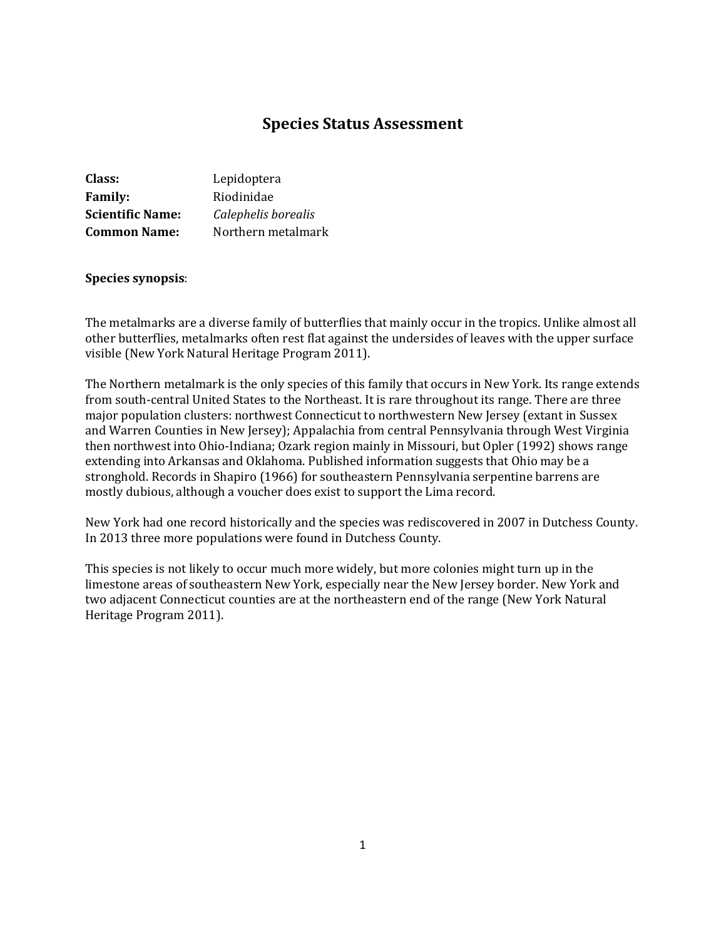# **Species Status Assessment**

| Class:                  | Lepidoptera         |
|-------------------------|---------------------|
| <b>Family:</b>          | Riodinidae          |
| <b>Scientific Name:</b> | Calephelis borealis |
| <b>Common Name:</b>     | Northern metalmark  |

#### **Species synopsis**:

The metalmarks are a diverse family of butterflies that mainly occur in the tropics. Unlike almost all other butterflies, metalmarks often rest flat against the undersides of leaves with the upper surface visible (New York Natural Heritage Program 2011).

The Northern metalmark is the only species of this family that occurs in New York. Its range extends from south-central United States to the Northeast. It is rare throughout its range. There are three major population clusters: northwest Connecticut to northwestern New Jersey (extant in Sussex and Warren Counties in New Jersey); Appalachia from central Pennsylvania through West Virginia then northwest into Ohio-Indiana; Ozark region mainly in Missouri, but Opler (1992) shows range extending into Arkansas and Oklahoma. Published information suggests that Ohio may be a stronghold. Records in Shapiro (1966) for southeastern Pennsylvania serpentine barrens are mostly dubious, although a voucher does exist to support the Lima record.

New York had one record historically and the species was rediscovered in 2007 in Dutchess County. In 2013 three more populations were found in Dutchess County.

This species is not likely to occur much more widely, but more colonies might turn up in the limestone areas of southeastern New York, especially near the New Jersey border. New York and two adjacent Connecticut counties are at the northeastern end of the range (New York Natural Heritage Program 2011).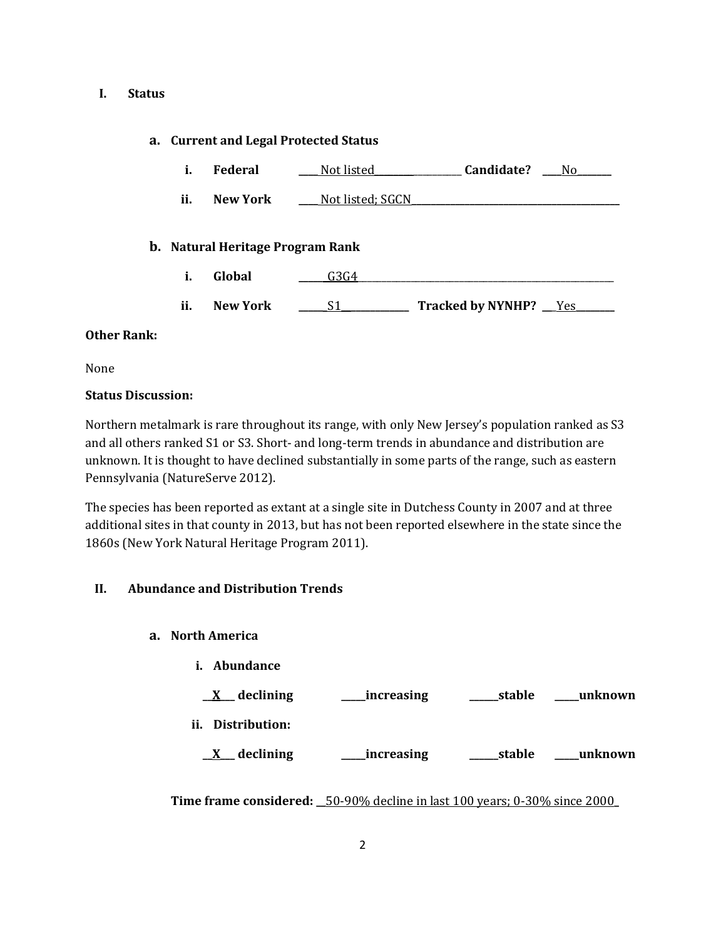#### **I. Status**

### **a. Current and Legal Protected Status**

| Federal | Not listed | Candidate? |  |
|---------|------------|------------|--|
|         |            |            |  |

**ii. New York Not listed; SGCN** 

#### **b. Natural Heritage Program Rank**

- **i. Global \_\_\_\_\_\_**G3G4\_\_\_\_\_\_\_\_\_\_\_\_\_\_\_\_\_\_\_\_\_\_\_\_\_\_\_\_\_\_\_\_\_\_\_\_\_\_\_\_\_\_\_\_\_\_\_\_\_\_\_\_\_
- **ii. New York \_\_\_\_\_**\_S1**\_\_\_\_\_\_\_\_\_\_\_\_\_\_ Tracked by NYNHP? \_\_**\_Yes**\_\_\_\_\_\_\_\_**

#### **Other Rank:**

None

#### **Status Discussion:**

Northern metalmark is rare throughout its range, with only New Jersey's population ranked as S3 and all others ranked S1 or S3. Short- and long-term trends in abundance and distribution are unknown. It is thought to have declined substantially in some parts of the range, such as eastern Pennsylvania (NatureServe 2012).

The species has been reported as extant at a single site in Dutchess County in 2007 and at three additional sites in that county in 2013, but has not been reported elsewhere in the state since the 1860s (New York Natural Heritage Program 2011).

### **II. Abundance and Distribution Trends**

- **a. North America**
	- **i. Abundance**

| declining         | increasing | stable | unknown_ |
|-------------------|------------|--------|----------|
| ii. Distribution: |            |        |          |
| declining         | increasing | stable | unknown  |

**Time frame considered: \_\_**50-90% decline in last 100 years; 0-30% since 2000**\_**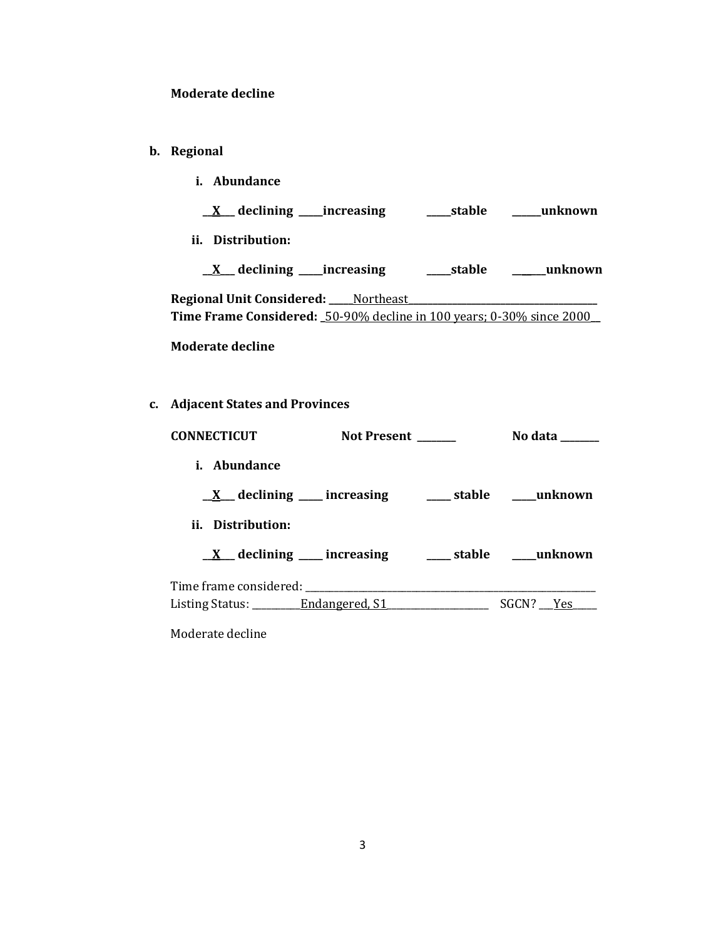### **Moderate decline**

- **b. Regional** 
	- **i. Abundance**
		- **\_\_X\_\_\_ declining \_\_\_\_\_increasing \_\_\_\_\_stable \_\_\_\_\_\_unknown**
	- **ii. Distribution:**

|  | declining ____increasing | _stable | unknown |
|--|--------------------------|---------|---------|
|  |                          |         |         |

**Regional Unit Considered: \_\_\_\_\_**Northeast**\_\_\_\_\_\_\_\_\_\_\_\_\_\_\_\_\_\_\_\_\_\_\_\_\_\_\_\_\_\_\_\_\_\_\_\_\_\_\_ Time Frame Considered: \_**50-90% decline in 100 years; 0-30% since 2000**\_\_**

**Moderate decline**

**c. Adjacent States and Provinces**

| CONNECTICUT                                                                                                            | Not Present ______                                                | No data ______ |
|------------------------------------------------------------------------------------------------------------------------|-------------------------------------------------------------------|----------------|
| <i>i.</i> Abundance                                                                                                    |                                                                   |                |
|                                                                                                                        | $\underline{X}$ declining ___ increasing ____ stable ____ unknown |                |
| ii. Distribution:                                                                                                      |                                                                   |                |
|                                                                                                                        | $\underline{X}$ declining ___ increasing ____ stable ___ unknown  |                |
|                                                                                                                        |                                                                   |                |
| Listing Status: <u>Chronical S1</u> Contract Contract Contract Contract Contract Contract Contract Contract Contract C |                                                                   | SGCN? Yes      |

Moderate decline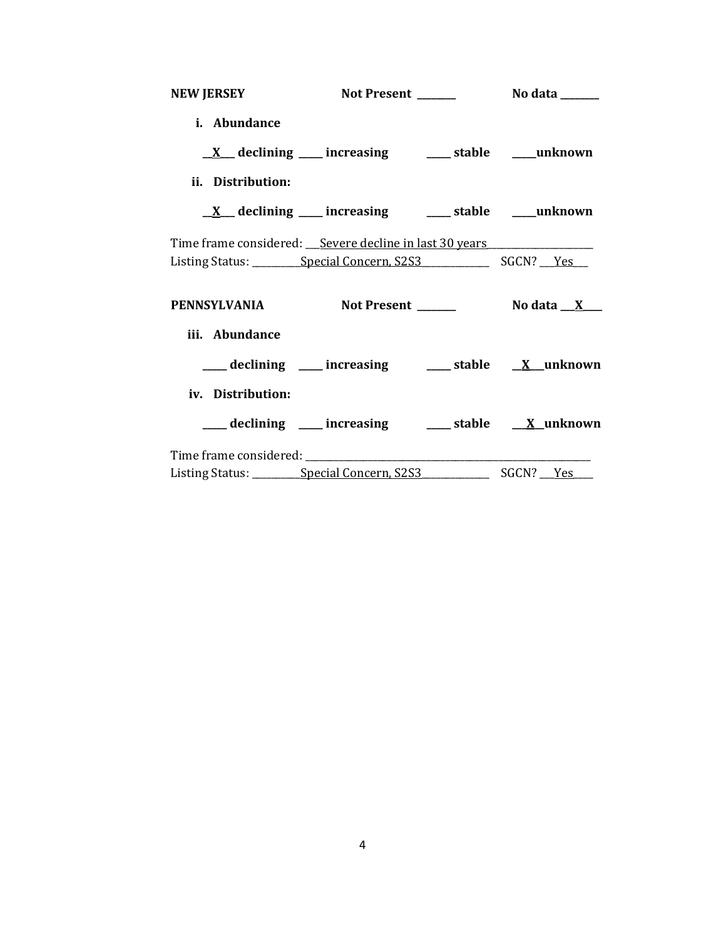| <b>NEW JERSEY</b> |                                                                                                      |  |
|-------------------|------------------------------------------------------------------------------------------------------|--|
| i. Abundance      |                                                                                                      |  |
|                   | $\underline{X}$ declining ___ increasing ____ stable ___ unknown                                     |  |
| ii. Distribution: |                                                                                                      |  |
|                   | $\underline{X}$ declining ___ increasing ___ stable ___ unknown                                      |  |
|                   | Time frame considered: <u>Severe decline in last 30 years</u>                                        |  |
|                   |                                                                                                      |  |
|                   | PENNSYLVANIA Not Present _______ No data __ X___                                                     |  |
| iii. Abundance    |                                                                                                      |  |
|                   | ___ declining ___ increasing ___ stable __ X__unknown                                                |  |
| iv. Distribution: |                                                                                                      |  |
|                   | ___ declining ___ increasing ___ stable __ X_unknown                                                 |  |
|                   |                                                                                                      |  |
|                   | Listing Status: __________ Special Concern, S2S3_________________________________ SGCN? ____Yes_____ |  |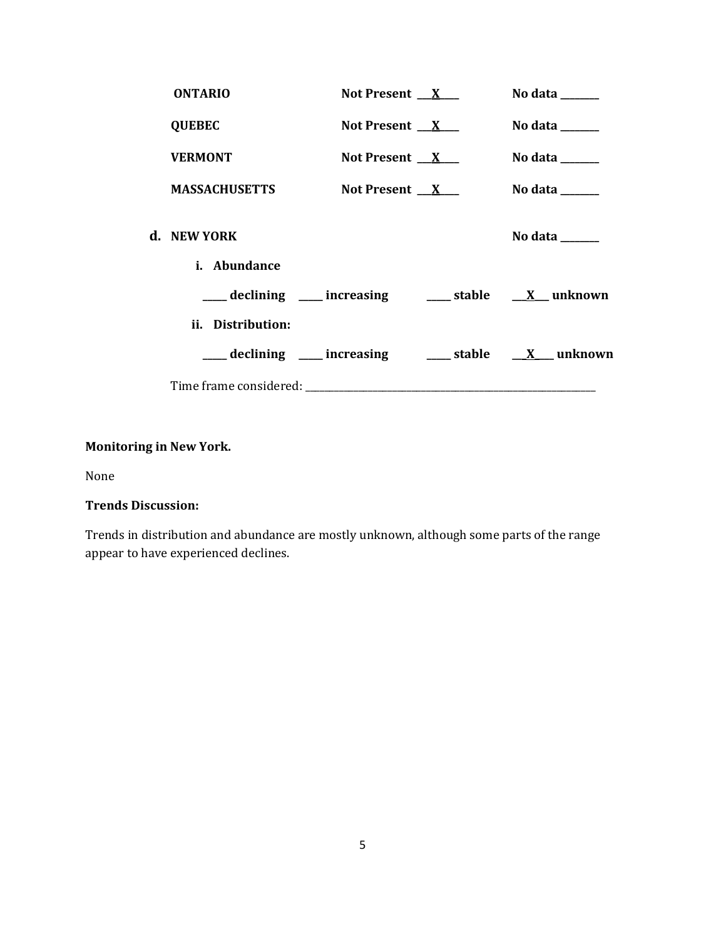| <b>ONTARIO</b>                                                                                                                          | Not Present $X_{-}$ | No data $\_\_\_\_\_\_\_\_\_\_\_\$                                           |
|-----------------------------------------------------------------------------------------------------------------------------------------|---------------------|-----------------------------------------------------------------------------|
| <b>QUEBEC</b>                                                                                                                           | Not Present $X$     | No data $\_\_\_\_\_\_\_\_\_\_\_\_\$                                         |
| <b>VERMONT</b>                                                                                                                          | Not Present $X$     | No data $\_\_\_\_\_\_\_\_\_\_\_\_\_\_\_\_\_\_\_\_\_\_\_\_\_\_\_\_\_\_\_\_$  |
| <b>MASSACHUSETTS</b>                                                                                                                    | Not Present $X$     | No data $\_\_\_\_\_\_\_\_\_\_\_\_\_\_\_\_\_\_\_\_\_\_\_\_\_\_\_\_\_\_\_\_$  |
| d. NEW YORK<br><i>i.</i> Abundance                                                                                                      |                     | No data $\frac{1}{\sqrt{1-\frac{1}{2}}\cdot\frac{1}{\sqrt{1-\frac{1}{2}}}}$ |
| $\frac{1}{\sqrt{1-x^2}}$ declining $\frac{1}{\sqrt{1-x^2}}$ increasing $\frac{1}{\sqrt{1-x^2}}$ stable $\frac{1}{\sqrt{1-x^2}}$ unknown |                     |                                                                             |
| ii. Distribution:                                                                                                                       |                     |                                                                             |
| declining ____ increasing _____ stable ___ X ___ unknown                                                                                |                     |                                                                             |
|                                                                                                                                         |                     |                                                                             |

# **Monitoring in New York.**

None

# **Trends Discussion:**

Trends in distribution and abundance are mostly unknown, although some parts of the range appear to have experienced declines.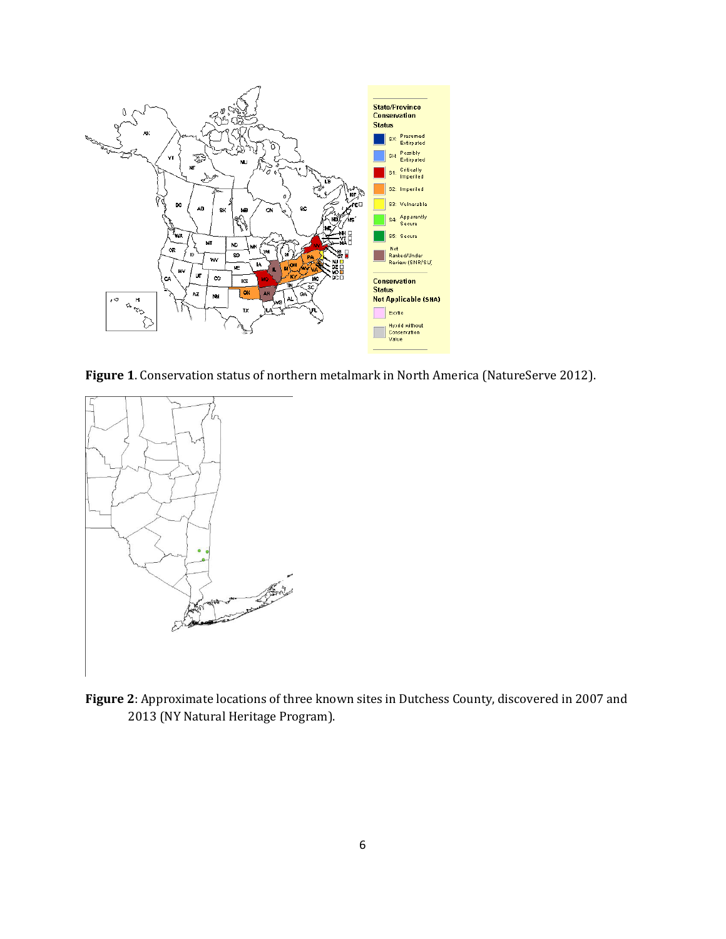

**Figure 1**. Conservation status of northern metalmark in North America (NatureServe 2012).



**Figure 2**: Approximate locations of three known sites in Dutchess County, discovered in 2007 and 2013 (NY Natural Heritage Program).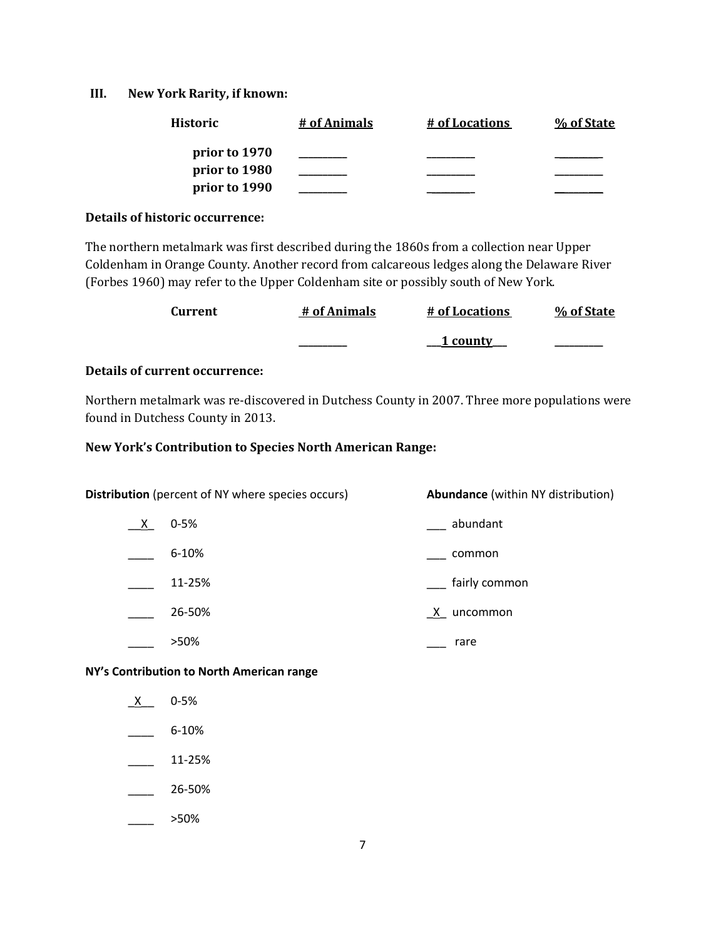#### **III. New York Rarity, if known:**

| <b>Historic</b> | # of Animals | # of Locations | % of State |
|-----------------|--------------|----------------|------------|
| prior to 1970   |              |                |            |
| prior to 1980   |              |                |            |
| prior to 1990   |              |                |            |

#### **Details of historic occurrence:**

The northern metalmark was first described during the 1860s from a collection near Upper Coldenham in Orange County. Another record from calcareous ledges along the Delaware River (Forbes 1960) may refer to the Upper Coldenham site or possibly south of New York.

| Current | # of Animals | <u># of Locations</u> | % of State |
|---------|--------------|-----------------------|------------|
|         |              | <u>1 county</u>       |            |

### **Details of current occurrence:**

Northern metalmark was re-discovered in Dutchess County in 2007. Three more populations were found in Dutchess County in 2013.

#### **New York's Contribution to Species North American Range:**

| <b>Distribution</b> (percent of NY where species occurs) |           | <b>Abundance</b> (within NY distribution) |
|----------------------------------------------------------|-----------|-------------------------------------------|
| $X_{-}$                                                  | $0 - 5%$  | abundant                                  |
|                                                          | $6 - 10%$ | common                                    |
|                                                          | 11-25%    | fairly common                             |
|                                                          | 26-50%    | X uncommon                                |
|                                                          | >50%      | rare                                      |

**NY's Contribution to North American range**

 $X$  0-5%  $-$  6-10%  $\frac{11-25\%}{2}$  $\frac{26-50\%}{26}$ 

 $\frac{\ }{\ }$  >50%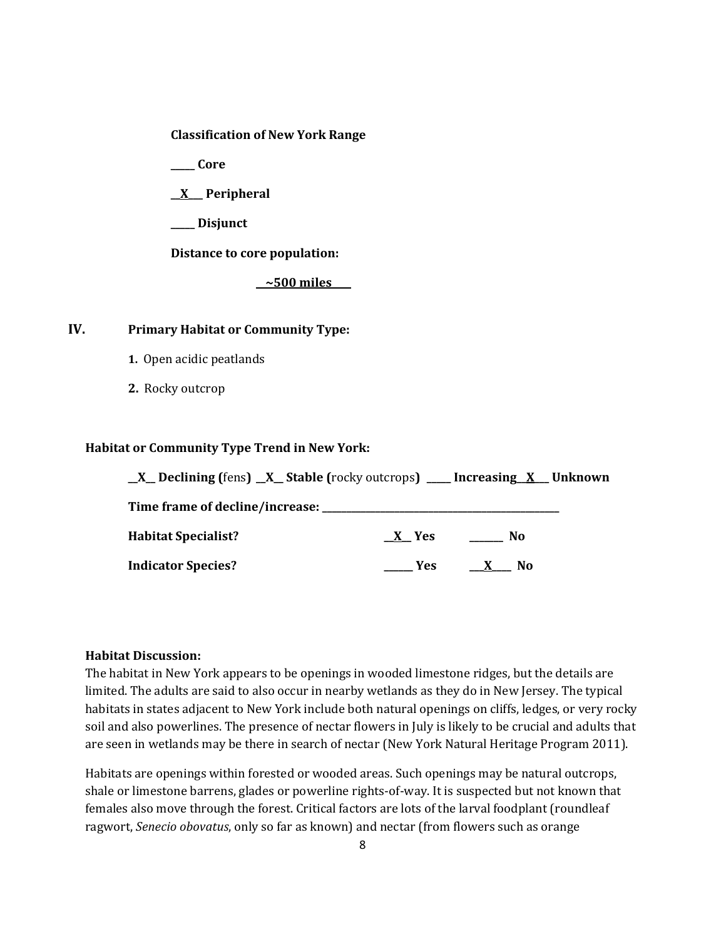**Classification of New York Range**

**\_\_\_\_\_ Core**

**\_\_X\_\_\_ Peripheral**

**\_\_\_\_\_ Disjunct**

**Distance to core population:**

**\_\_~500 miles\_\_\_\_**

# **IV. Primary Habitat or Community Type:**

- **1.** Open acidic peatlands
- **2.** Rocky outcrop

#### **Habitat or Community Type Trend in New York:**

| $X$ Declining (fens) $X$ Stable (rocky outcrops) ___ Increasing X Unknown |                     |                     |  |
|---------------------------------------------------------------------------|---------------------|---------------------|--|
| Time frame of decline/increase:                                           |                     |                     |  |
| <b>Habitat Specialist?</b>                                                | $X$ Yes             | $\mathbf{N}$        |  |
| <b>Indicator Species?</b>                                                 | <b>Paragona</b> Yes | No.<br>$\mathbf{X}$ |  |

#### **Habitat Discussion:**

The habitat in New York appears to be openings in wooded limestone ridges, but the details are limited. The adults are said to also occur in nearby wetlands as they do in New Jersey. The typical habitats in states adjacent to New York include both natural openings on cliffs, ledges, or very rocky soil and also powerlines. The presence of nectar flowers in July is likely to be crucial and adults that are seen in wetlands may be there in search of nectar (New York Natural Heritage Program 2011).

Habitats are openings within forested or wooded areas. Such openings may be natural outcrops, shale or limestone barrens, glades or powerline rights-of-way. It is suspected but not known that females also move through the forest. Critical factors are lots of the larval foodplant (roundleaf ragwort, *Senecio obovatus*, only so far as known) and nectar (from flowers such as orange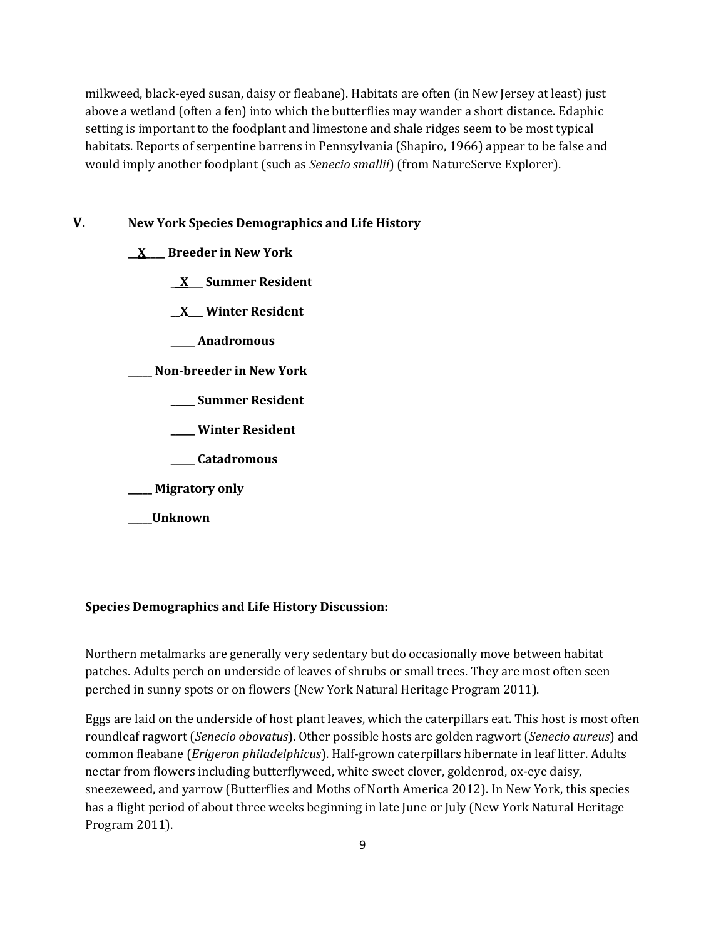milkweed, black-eyed susan, daisy or fleabane). Habitats are often (in New Jersey at least) just above a wetland (often a fen) into which the butterflies may wander a short distance. Edaphic setting is important to the foodplant and limestone and shale ridges seem to be most typical habitats. Reports of serpentine barrens in Pennsylvania (Shapiro, 1966) appear to be false and would imply another foodplant (such as *Senecio smallii*) (from NatureServe Explorer).

### **V. New York Species Demographics and Life History**

- **\_\_X\_\_\_\_ Breeder in New York**
	- **\_\_X\_\_\_ Summer Resident**
	- **\_\_X\_\_\_ Winter Resident**
	- **\_\_\_\_\_ Anadromous**

**\_\_\_\_\_ Non-breeder in New York**

- **\_\_\_\_\_ Summer Resident**
- **\_\_\_\_\_ Winter Resident**
- **\_\_\_\_\_ Catadromous**
- **\_\_\_\_\_ Migratory only**
- **\_\_\_\_\_Unknown**

### **Species Demographics and Life History Discussion:**

Northern metalmarks are generally very sedentary but do occasionally move between habitat patches. Adults perch on underside of leaves of shrubs or small trees. They are most often seen perched in sunny spots or on flowers (New York Natural Heritage Program 2011).

Eggs are laid on the underside of host plant leaves, which the caterpillars eat. This host is most often roundleaf ragwort (*Senecio obovatus*). Other possible hosts are golden ragwort (*Senecio aureus*) and common fleabane (*Erigeron philadelphicus*). Half-grown caterpillars hibernate in leaf litter. Adults nectar from flowers including butterflyweed, white sweet clover, goldenrod, ox-eye daisy, sneezeweed, and yarrow (Butterflies and Moths of North America 2012). In New York, this species has a flight period of about three weeks beginning in late June or July (New York Natural Heritage Program 2011).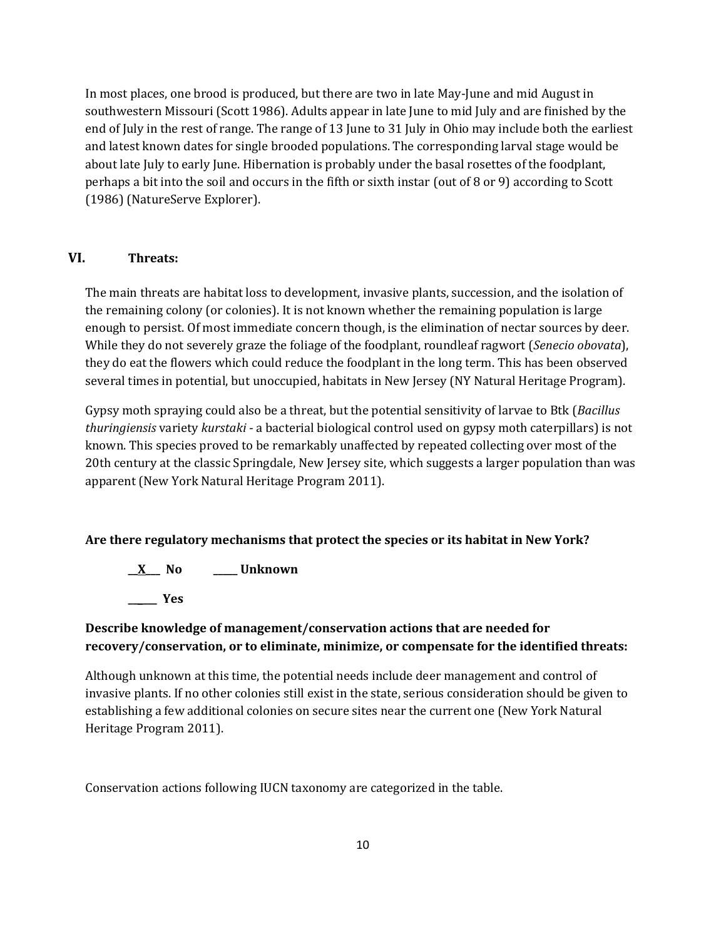In most places, one brood is produced, but there are two in late May-June and mid August in southwestern Missouri (Scott 1986). Adults appear in late June to mid July and are finished by the end of July in the rest of range. The range of 13 June to 31 July in Ohio may include both the earliest and latest known dates for single brooded populations. The corresponding larval stage would be about late July to early June. Hibernation is probably under the basal rosettes of the foodplant, perhaps a bit into the soil and occurs in the fifth or sixth instar (out of 8 or 9) according to Scott (1986) (NatureServe Explorer).

# **VI. Threats:**

The main threats are habitat loss to development, invasive plants, succession, and the isolation of the remaining colony (or colonies). It is not known whether the remaining population is large enough to persist. Of most immediate concern though, is the elimination of nectar sources by deer. While they do not severely graze the foliage of the foodplant, roundleaf ragwort (*Senecio obovata*), they do eat the flowers which could reduce the foodplant in the long term. This has been observed several times in potential, but unoccupied, habitats in New Jersey (NY Natural Heritage Program).

Gypsy moth spraying could also be a threat, but the potential sensitivity of larvae to Btk (*Bacillus thuringiensis* variety *kurstaki* - a bacterial biological control used on gypsy moth caterpillars) is not known. This species proved to be remarkably unaffected by repeated collecting over most of the 20th century at the classic Springdale, New Jersey site, which suggests a larger population than was apparent (New York Natural Heritage Program 2011).

# **Are there regulatory mechanisms that protect the species or its habitat in New York?**

**\_\_X\_\_\_ No \_\_\_\_\_ Unknown \_\_\_\_\_\_ Yes** 

# **Describe knowledge of management/conservation actions that are needed for recovery/conservation, or to eliminate, minimize, or compensate for the identified threats:**

Although unknown at this time, the potential needs include deer management and control of invasive plants. If no other colonies still exist in the state, serious consideration should be given to establishing a few additional colonies on secure sites near the current one (New York Natural Heritage Program 2011).

Conservation actions following IUCN taxonomy are categorized in the table.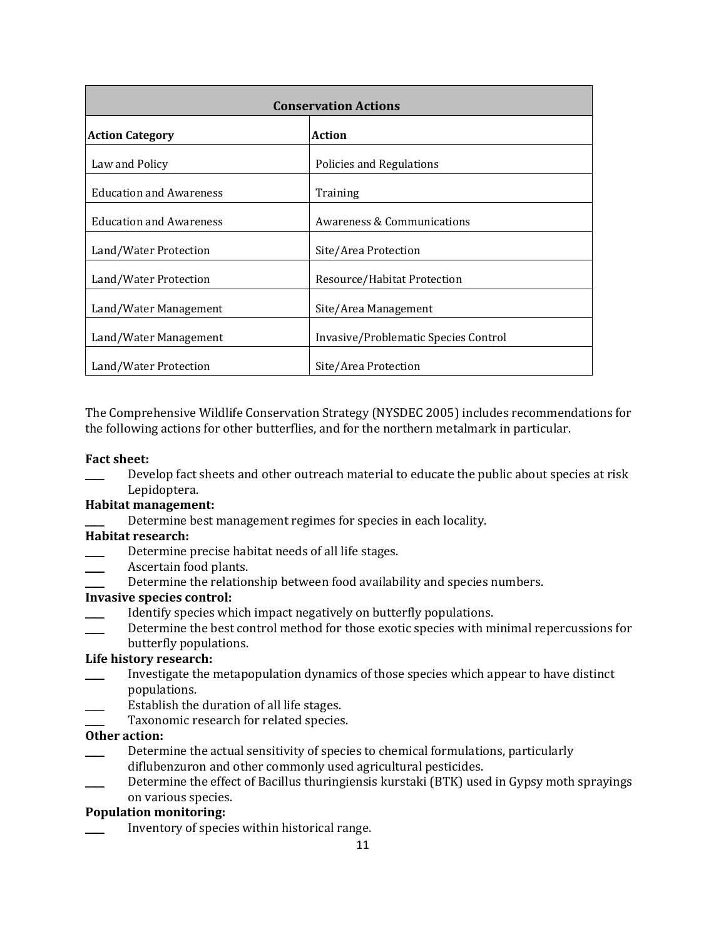| <b>Conservation Actions</b>    |                                       |  |
|--------------------------------|---------------------------------------|--|
| <b>Action Category</b>         | <b>Action</b>                         |  |
| Law and Policy                 | Policies and Regulations              |  |
| <b>Education and Awareness</b> | Training                              |  |
| <b>Education and Awareness</b> | <b>Awareness &amp; Communications</b> |  |
| Land/Water Protection          | Site/Area Protection                  |  |
| Land/Water Protection          | Resource/Habitat Protection           |  |
| Land/Water Management          | Site/Area Management                  |  |
| Land/Water Management          | Invasive/Problematic Species Control  |  |
| Land/Water Protection          | Site/Area Protection                  |  |

The Comprehensive Wildlife Conservation Strategy (NYSDEC 2005) includes recommendations for the following actions for other butterflies, and for the northern metalmark in particular.

# **Fact sheet:**

Develop fact sheets and other outreach material to educate the public about species at risk Lepidoptera.

# **Habitat management:**

Determine best management regimes for species in each locality.

### **Habitat research:**

- **EXECUTE:** Determine precise habitat needs of all life stages.
- Ascertain food plants.
- Determine the relationship between food availability and species numbers.

### **Invasive species control:**

- Identify species which impact negatively on butterfly populations.
- Determine the best control method for those exotic species with minimal repercussions for
- butterfly populations.

# **Life history research:**

- \_\_\_\_ Investigate the metapopulation dynamics of those species which appear to have distinct populations.
- Establish the duration of all life stages.
- Taxonomic research for related species.

# **Other action:**

- Determine the actual sensitivity of species to chemical formulations, particularly diflubenzuron and other commonly used agricultural pesticides.
- Determine the effect of Bacillus thuringiensis kurstaki (BTK) used in Gypsy moth sprayings on various species.

# **Population monitoring:**

Inventory of species within historical range.